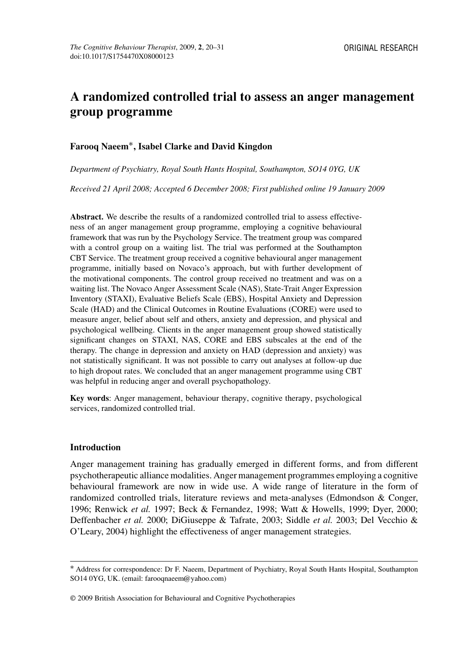# **A randomized controlled trial to assess an anger management group programme**

# **Farooq Naeem**∗**, Isabel Clarke and David Kingdon**

*Department of Psychiatry, Royal South Hants Hospital, Southampton, SO14 0YG, UK*

*Received 21 April 2008; Accepted 6 December 2008; First published online 19 January 2009*

**Abstract.** We describe the results of a randomized controlled trial to assess effectiveness of an anger management group programme, employing a cognitive behavioural framework that was run by the Psychology Service. The treatment group was compared with a control group on a waiting list. The trial was performed at the Southampton CBT Service. The treatment group received a cognitive behavioural anger management programme, initially based on Novaco's approach, but with further development of the motivational components. The control group received no treatment and was on a waiting list. The Novaco Anger Assessment Scale (NAS), State-Trait Anger Expression Inventory (STAXI), Evaluative Beliefs Scale (EBS), Hospital Anxiety and Depression Scale (HAD) and the Clinical Outcomes in Routine Evaluations (CORE) were used to measure anger, belief about self and others, anxiety and depression, and physical and psychological wellbeing. Clients in the anger management group showed statistically significant changes on STAXI, NAS, CORE and EBS subscales at the end of the therapy. The change in depression and anxiety on HAD (depression and anxiety) was not statistically significant. It was not possible to carry out analyses at follow-up due to high dropout rates. We concluded that an anger management programme using CBT was helpful in reducing anger and overall psychopathology.

**Key words**: Anger management, behaviour therapy, cognitive therapy, psychological services, randomized controlled trial.

## **Introduction**

Anger management training has gradually emerged in different forms, and from different psychotherapeutic alliance modalities. Anger management programmes employing a cognitive behavioural framework are now in wide use. A wide range of literature in the form of randomized controlled trials, literature reviews and meta-analyses (Edmondson & Conger, 1996; Renwick *et al.* 1997; Beck & Fernandez, 1998; Watt & Howells, 1999; Dyer, 2000; Deffenbacher *et al.* 2000; DiGiuseppe & Tafrate, 2003; Siddle *et al.* 2003; Del Vecchio & O'Leary, 2004) highlight the effectiveness of anger management strategies.

<sup>∗</sup> Address for correspondence: Dr F. Naeem, Department of Psychiatry, Royal South Hants Hospital, Southampton SO14 0YG, UK. (email: farooqnaeem@yahoo.com)

<sup>© 2009</sup> British Association for Behavioural and Cognitive Psychotherapies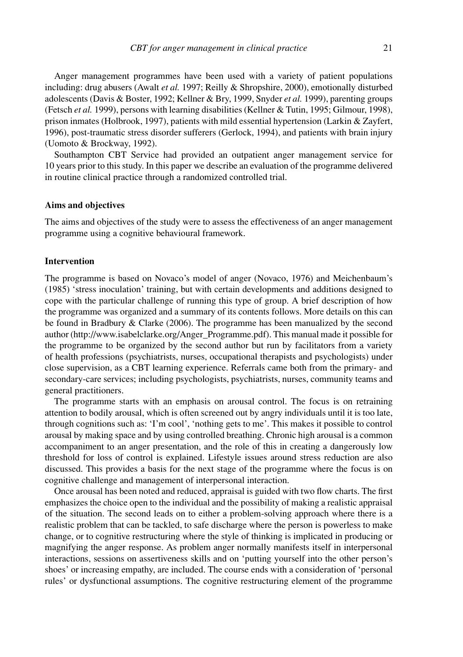Anger management programmes have been used with a variety of patient populations including: drug abusers (Awalt *et al.* 1997; Reilly & Shropshire, 2000), emotionally disturbed adolescents (Davis & Boster, 1992; Kellner & Bry, 1999, Snyder *et al.* 1999), parenting groups (Fetsch *et al.* 1999), persons with learning disabilities (Kellner & Tutin, 1995; Gilmour, 1998), prison inmates (Holbrook, 1997), patients with mild essential hypertension (Larkin & Zayfert, 1996), post-traumatic stress disorder sufferers (Gerlock, 1994), and patients with brain injury (Uomoto & Brockway, 1992).

Southampton CBT Service had provided an outpatient anger management service for 10 years prior to this study. In this paper we describe an evaluation of the programme delivered in routine clinical practice through a randomized controlled trial.

#### **Aims and objectives**

The aims and objectives of the study were to assess the effectiveness of an anger management programme using a cognitive behavioural framework.

## **Intervention**

The programme is based on Novaco's model of anger (Novaco, 1976) and Meichenbaum's (1985) 'stress inoculation' training, but with certain developments and additions designed to cope with the particular challenge of running this type of group. A brief description of how the programme was organized and a summary of its contents follows. More details on this can be found in Bradbury & Clarke (2006). The programme has been manualized by the second author (http://www.isabelclarke.org/Anger\_Programme.pdf). This manual made it possible for the programme to be organized by the second author but run by facilitators from a variety of health professions (psychiatrists, nurses, occupational therapists and psychologists) under close supervision, as a CBT learning experience. Referrals came both from the primary- and secondary-care services; including psychologists, psychiatrists, nurses, community teams and general practitioners.

The programme starts with an emphasis on arousal control. The focus is on retraining attention to bodily arousal, which is often screened out by angry individuals until it is too late, through cognitions such as: 'I'm cool', 'nothing gets to me'. This makes it possible to control arousal by making space and by using controlled breathing. Chronic high arousal is a common accompaniment to an anger presentation, and the role of this in creating a dangerously low threshold for loss of control is explained. Lifestyle issues around stress reduction are also discussed. This provides a basis for the next stage of the programme where the focus is on cognitive challenge and management of interpersonal interaction.

Once arousal has been noted and reduced, appraisal is guided with two flow charts. The first emphasizes the choice open to the individual and the possibility of making a realistic appraisal of the situation. The second leads on to either a problem-solving approach where there is a realistic problem that can be tackled, to safe discharge where the person is powerless to make change, or to cognitive restructuring where the style of thinking is implicated in producing or magnifying the anger response. As problem anger normally manifests itself in interpersonal interactions, sessions on assertiveness skills and on 'putting yourself into the other person's shoes' or increasing empathy, are included. The course ends with a consideration of 'personal rules' or dysfunctional assumptions. The cognitive restructuring element of the programme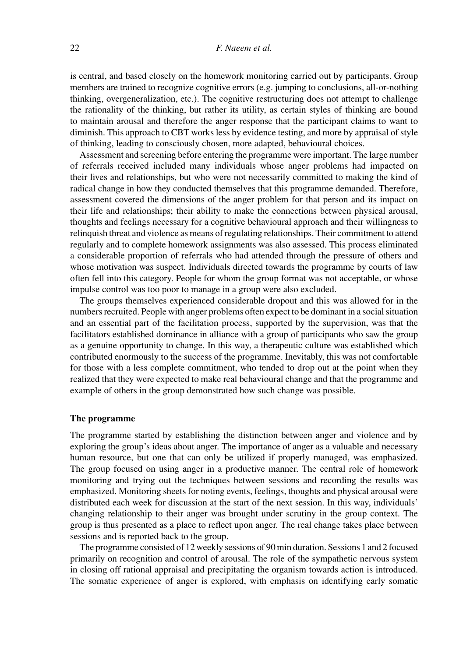is central, and based closely on the homework monitoring carried out by participants. Group members are trained to recognize cognitive errors (e.g. jumping to conclusions, all-or-nothing thinking, overgeneralization, etc.). The cognitive restructuring does not attempt to challenge the rationality of the thinking, but rather its utility, as certain styles of thinking are bound to maintain arousal and therefore the anger response that the participant claims to want to diminish. This approach to CBT works less by evidence testing, and more by appraisal of style of thinking, leading to consciously chosen, more adapted, behavioural choices.

Assessment and screening before entering the programme were important. The large number of referrals received included many individuals whose anger problems had impacted on their lives and relationships, but who were not necessarily committed to making the kind of radical change in how they conducted themselves that this programme demanded. Therefore, assessment covered the dimensions of the anger problem for that person and its impact on their life and relationships; their ability to make the connections between physical arousal, thoughts and feelings necessary for a cognitive behavioural approach and their willingness to relinquish threat and violence as means of regulating relationships. Their commitment to attend regularly and to complete homework assignments was also assessed. This process eliminated a considerable proportion of referrals who had attended through the pressure of others and whose motivation was suspect. Individuals directed towards the programme by courts of law often fell into this category. People for whom the group format was not acceptable, or whose impulse control was too poor to manage in a group were also excluded.

The groups themselves experienced considerable dropout and this was allowed for in the numbers recruited. People with anger problems often expect to be dominant in a social situation and an essential part of the facilitation process, supported by the supervision, was that the facilitators established dominance in alliance with a group of participants who saw the group as a genuine opportunity to change. In this way, a therapeutic culture was established which contributed enormously to the success of the programme. Inevitably, this was not comfortable for those with a less complete commitment, who tended to drop out at the point when they realized that they were expected to make real behavioural change and that the programme and example of others in the group demonstrated how such change was possible.

# **The programme**

The programme started by establishing the distinction between anger and violence and by exploring the group's ideas about anger. The importance of anger as a valuable and necessary human resource, but one that can only be utilized if properly managed, was emphasized. The group focused on using anger in a productive manner. The central role of homework monitoring and trying out the techniques between sessions and recording the results was emphasized. Monitoring sheets for noting events, feelings, thoughts and physical arousal were distributed each week for discussion at the start of the next session. In this way, individuals' changing relationship to their anger was brought under scrutiny in the group context. The group is thus presented as a place to reflect upon anger. The real change takes place between sessions and is reported back to the group.

The programme consisted of 12 weekly sessions of 90 min duration. Sessions 1 and 2 focused primarily on recognition and control of arousal. The role of the sympathetic nervous system in closing off rational appraisal and precipitating the organism towards action is introduced. The somatic experience of anger is explored, with emphasis on identifying early somatic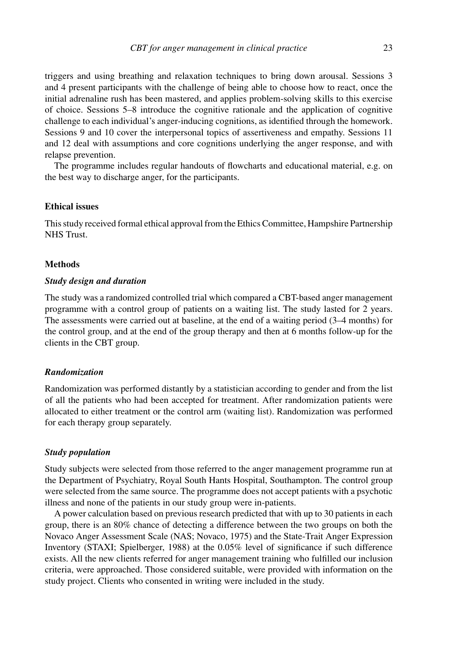triggers and using breathing and relaxation techniques to bring down arousal. Sessions 3 and 4 present participants with the challenge of being able to choose how to react, once the initial adrenaline rush has been mastered, and applies problem-solving skills to this exercise of choice. Sessions 5–8 introduce the cognitive rationale and the application of cognitive challenge to each individual's anger-inducing cognitions, as identified through the homework. Sessions 9 and 10 cover the interpersonal topics of assertiveness and empathy. Sessions 11 and 12 deal with assumptions and core cognitions underlying the anger response, and with relapse prevention.

The programme includes regular handouts of flowcharts and educational material, e.g. on the best way to discharge anger, for the participants.

# **Ethical issues**

This study received formal ethical approval from the Ethics Committee, Hampshire Partnership NHS Trust.

## **Methods**

# *Study design and duration*

The study was a randomized controlled trial which compared a CBT-based anger management programme with a control group of patients on a waiting list. The study lasted for 2 years. The assessments were carried out at baseline, at the end of a waiting period (3–4 months) for the control group, and at the end of the group therapy and then at 6 months follow-up for the clients in the CBT group.

# *Randomization*

Randomization was performed distantly by a statistician according to gender and from the list of all the patients who had been accepted for treatment. After randomization patients were allocated to either treatment or the control arm (waiting list). Randomization was performed for each therapy group separately.

# *Study population*

Study subjects were selected from those referred to the anger management programme run at the Department of Psychiatry, Royal South Hants Hospital, Southampton. The control group were selected from the same source. The programme does not accept patients with a psychotic illness and none of the patients in our study group were in-patients.

A power calculation based on previous research predicted that with up to 30 patients in each group, there is an 80% chance of detecting a difference between the two groups on both the Novaco Anger Assessment Scale (NAS; Novaco, 1975) and the State-Trait Anger Expression Inventory (STAXI; Spielberger, 1988) at the 0.05% level of significance if such difference exists. All the new clients referred for anger management training who fulfilled our inclusion criteria, were approached. Those considered suitable, were provided with information on the study project. Clients who consented in writing were included in the study.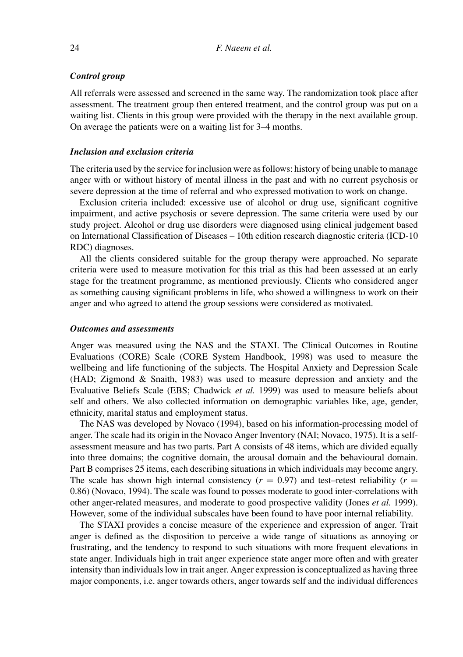# *Control group*

All referrals were assessed and screened in the same way. The randomization took place after assessment. The treatment group then entered treatment, and the control group was put on a waiting list. Clients in this group were provided with the therapy in the next available group. On average the patients were on a waiting list for 3–4 months.

# *Inclusion and exclusion criteria*

The criteria used by the service for inclusion were as follows: history of being unable to manage anger with or without history of mental illness in the past and with no current psychosis or severe depression at the time of referral and who expressed motivation to work on change.

Exclusion criteria included: excessive use of alcohol or drug use, significant cognitive impairment, and active psychosis or severe depression. The same criteria were used by our study project. Alcohol or drug use disorders were diagnosed using clinical judgement based on International Classification of Diseases – 10th edition research diagnostic criteria (ICD-10 RDC) diagnoses.

All the clients considered suitable for the group therapy were approached. No separate criteria were used to measure motivation for this trial as this had been assessed at an early stage for the treatment programme, as mentioned previously. Clients who considered anger as something causing significant problems in life, who showed a willingness to work on their anger and who agreed to attend the group sessions were considered as motivated.

# *Outcomes and assessments*

Anger was measured using the NAS and the STAXI. The Clinical Outcomes in Routine Evaluations (CORE) Scale (CORE System Handbook, 1998) was used to measure the wellbeing and life functioning of the subjects. The Hospital Anxiety and Depression Scale (HAD; Zigmond & Snaith, 1983) was used to measure depression and anxiety and the Evaluative Beliefs Scale (EBS; Chadwick *et al.* 1999) was used to measure beliefs about self and others. We also collected information on demographic variables like, age, gender, ethnicity, marital status and employment status.

The NAS was developed by Novaco (1994), based on his information-processing model of anger. The scale had its origin in the Novaco Anger Inventory (NAI; Novaco, 1975). It is a selfassessment measure and has two parts. Part A consists of 48 items, which are divided equally into three domains; the cognitive domain, the arousal domain and the behavioural domain. Part B comprises 25 items, each describing situations in which individuals may become angry. The scale has shown high internal consistency  $(r = 0.97)$  and test–retest reliability  $(r = 0.97)$ 0.86) (Novaco, 1994). The scale was found to posses moderate to good inter-correlations with other anger-related measures, and moderate to good prospective validity (Jones *et al.* 1999). However, some of the individual subscales have been found to have poor internal reliability.

The STAXI provides a concise measure of the experience and expression of anger. Trait anger is defined as the disposition to perceive a wide range of situations as annoying or frustrating, and the tendency to respond to such situations with more frequent elevations in state anger. Individuals high in trait anger experience state anger more often and with greater intensity than individuals low in trait anger. Anger expression is conceptualized as having three major components, i.e. anger towards others, anger towards self and the individual differences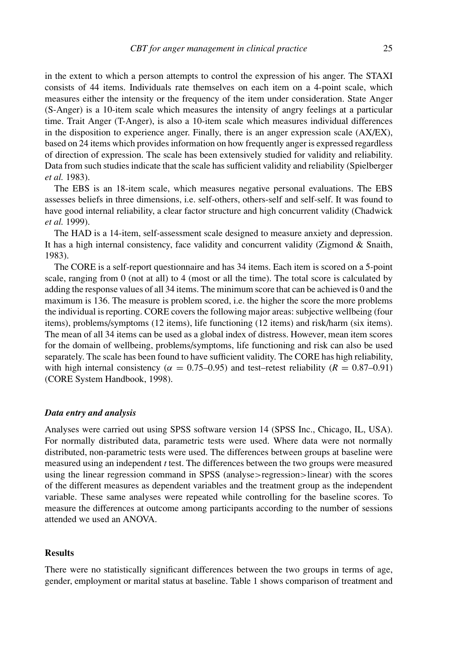in the extent to which a person attempts to control the expression of his anger. The STAXI consists of 44 items. Individuals rate themselves on each item on a 4-point scale, which measures either the intensity or the frequency of the item under consideration. State Anger (S-Anger) is a 10-item scale which measures the intensity of angry feelings at a particular time. Trait Anger (T-Anger), is also a 10-item scale which measures individual differences in the disposition to experience anger. Finally, there is an anger expression scale  $(AX/EX)$ , based on 24 items which provides information on how frequently anger is expressed regardless of direction of expression. The scale has been extensively studied for validity and reliability. Data from such studies indicate that the scale has sufficient validity and reliability (Spielberger *et al.* 1983).

The EBS is an 18-item scale, which measures negative personal evaluations. The EBS assesses beliefs in three dimensions, i.e. self-others, others-self and self-self. It was found to have good internal reliability, a clear factor structure and high concurrent validity (Chadwick *et al.* 1999).

The HAD is a 14-item, self-assessment scale designed to measure anxiety and depression. It has a high internal consistency, face validity and concurrent validity (Zigmond & Snaith, 1983).

The CORE is a self-report questionnaire and has 34 items. Each item is scored on a 5-point scale, ranging from 0 (not at all) to 4 (most or all the time). The total score is calculated by adding the response values of all 34 items. The minimum score that can be achieved is 0 and the maximum is 136. The measure is problem scored, i.e. the higher the score the more problems the individual is reporting. CORE covers the following major areas: subjective wellbeing (four items), problems/symptoms (12 items), life functioning (12 items) and risk/harm (six items). The mean of all 34 items can be used as a global index of distress. However, mean item scores for the domain of wellbeing, problems/symptoms, life functioning and risk can also be used separately. The scale has been found to have sufficient validity. The CORE has high reliability, with high internal consistency ( $\alpha = 0.75{\text -}0.95$ ) and test–retest reliability ( $R = 0.87{\text -}0.91$ ) (CORE System Handbook, 1998).

#### *Data entry and analysis*

Analyses were carried out using SPSS software version 14 (SPSS Inc., Chicago, IL, USA). For normally distributed data, parametric tests were used. Where data were not normally distributed, non-parametric tests were used. The differences between groups at baseline were measured using an independent *t* test. The differences between the two groups were measured using the linear regression command in SPSS (analyse*>*regression*>*linear) with the scores of the different measures as dependent variables and the treatment group as the independent variable. These same analyses were repeated while controlling for the baseline scores. To measure the differences at outcome among participants according to the number of sessions attended we used an ANOVA.

## **Results**

There were no statistically significant differences between the two groups in terms of age, gender, employment or marital status at baseline. Table 1 shows comparison of treatment and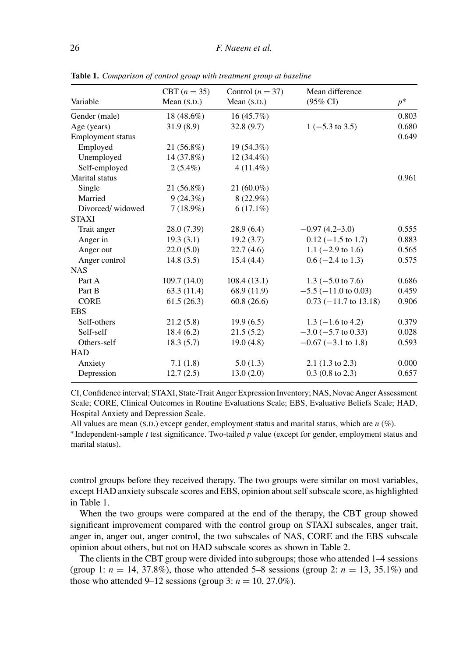|                   | $CBT (n = 35)$ | Control $(n = 37)$ | Mean difference              |       |
|-------------------|----------------|--------------------|------------------------------|-------|
| Variable          | Mean (S.D.)    | Mean (S.D.)        | $(95\% \text{ CI})$          | $p^*$ |
| Gender (male)     | 18 $(48.6\%)$  | 16(45.7%)          |                              | 0.803 |
| Age (years)       | 31.9(8.9)      | 32.8(9.7)          | $1(-5.3 \text{ to } 3.5)$    | 0.680 |
| Employment status |                |                    |                              | 0.649 |
| Employed          | 21 (56.8%)     | 19 (54.3%)         |                              |       |
| Unemployed        | 14 (37.8%)     | $12(34.4\%)$       |                              |       |
| Self-employed     | $2(5.4\%)$     | $4(11.4\%)$        |                              |       |
| Marital status    |                |                    |                              | 0.961 |
| Single            | 21 (56.8%)     | $21(60.0\%)$       |                              |       |
| Married           | $9(24.3\%)$    | $8(22.9\%)$        |                              |       |
| Divorced/widowed  | $7(18.9\%)$    | $6(17.1\%)$        |                              |       |
| <b>STAXI</b>      |                |                    |                              |       |
| Trait anger       | 28.0 (7.39)    | 28.9(6.4)          | $-0.97(4.2-3.0)$             | 0.555 |
| Anger in          | 19.3(3.1)      | 19.2(3.7)          | $0.12$ (-1.5 to 1.7)         | 0.883 |
| Anger out         | 22.0(5.0)      | 22.7(4.6)          | 1.1 $(-2.9 \text{ to } 1.6)$ | 0.565 |
| Anger control     | 14.8(3.5)      | 15.4(4.4)          | $0.6$ (-2.4 to 1.3)          | 0.575 |
| <b>NAS</b>        |                |                    |                              |       |
| Part A            | 109.7(14.0)    | 108.4(13.1)        | $1.3$ (-5.0 to 7.6)          | 0.686 |
| Part B            | 63.3(11.4)     | 68.9 (11.9)        | $-5.5$ ( $-11.0$ to 0.03)    | 0.459 |
| <b>CORE</b>       | 61.5(26.3)     | 60.8(26.6)         | $0.73$ (-11.7 to 13.18)      | 0.906 |
| <b>EBS</b>        |                |                    |                              |       |
| Self-others       | 21.2(5.8)      | 19.9(6.5)          | $1.3$ (-1.6 to 4.2)          | 0.379 |
| Self-self         | 18.4(6.2)      | 21.5(5.2)          | $-3.0$ ( $-5.7$ to 0.33)     | 0.028 |
| Others-self       | 18.3(5.7)      | 19.0(4.8)          | $-0.67$ ( $-3.1$ to 1.8)     | 0.593 |
| <b>HAD</b>        |                |                    |                              |       |
| Anxiety           | 7.1(1.8)       | 5.0(1.3)           | $2.1$ (1.3 to 2.3)           | 0.000 |
| Depression        | 12.7(2.5)      | 13.0(2.0)          | $0.3$ (0.8 to 2.3)           | 0.657 |

**Table 1.** *Comparison of control group with treatment group at baseline*

CI, Confidence interval; STAXI, State-Trait Anger Expression Inventory; NAS, Novac Anger Assessment Scale; CORE, Clinical Outcomes in Routine Evaluations Scale; EBS, Evaluative Beliefs Scale; HAD, Hospital Anxiety and Depression Scale.

All values are mean (S.D.) except gender, employment status and marital status, which are *n* (%).

<sup>∗</sup> Independent-sample *t* test significance. Two-tailed *p* value (except for gender, employment status and marital status).

control groups before they received therapy. The two groups were similar on most variables, except HAD anxiety subscale scores and EBS, opinion about self subscale score, as highlighted in Table 1.

When the two groups were compared at the end of the therapy, the CBT group showed significant improvement compared with the control group on STAXI subscales, anger trait, anger in, anger out, anger control, the two subscales of NAS, CORE and the EBS subscale opinion about others, but not on HAD subscale scores as shown in Table 2.

The clients in the CBT group were divided into subgroups; those who attended 1–4 sessions (group 1:  $n = 14, 37.8\%$ ), those who attended 5–8 sessions (group 2:  $n = 13, 35.1\%$ ) and those who attended 9–12 sessions (group 3:  $n = 10, 27.0\%$ ).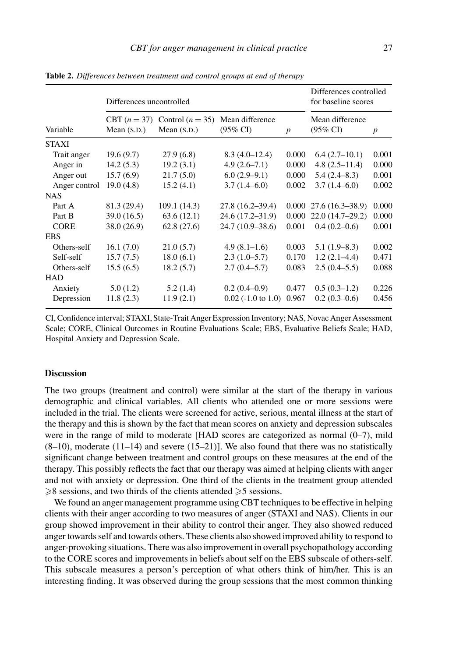|               | Differences uncontrolled        |                                     |                                        |                  | Differences controlled<br>for baseline scores |                  |
|---------------|---------------------------------|-------------------------------------|----------------------------------------|------------------|-----------------------------------------------|------------------|
| Variable      | $CBT (n = 37)$<br>Mean $(S.D.)$ | Control $(n = 35)$<br>Mean $(S.D.)$ | Mean difference<br>$(95\% \text{ CI})$ | $\boldsymbol{p}$ | Mean difference<br>$(95\% \text{ CI})$        | $\boldsymbol{p}$ |
| <b>STAXI</b>  |                                 |                                     |                                        |                  |                                               |                  |
| Trait anger   | 19.6(9.7)                       | 27.9(6.8)                           | $8.3(4.0-12.4)$                        | 0.000            | $6.4(2.7-10.1)$                               | 0.001            |
| Anger in      | 14.2(5.3)                       | 19.2(3.1)                           | $4.9(2.6 - 7.1)$                       | 0.000            | $4.8(2.5-11.4)$                               | 0.000            |
| Anger out     | 15.7(6.9)                       | 21.7(5.0)                           | $6.0(2.9-9.1)$                         | 0.000            | 5.4(2.4–8.3)                                  | 0.001            |
| Anger control | 19.0(4.8)                       | 15.2(4.1)                           | $3.7(1.4-6.0)$                         | 0.002            | $3.7(1.4-6.0)$                                | 0.002            |
| <b>NAS</b>    |                                 |                                     |                                        |                  |                                               |                  |
| Part A        | 81.3 (29.4)                     | 109.1(14.3)                         | $27.8(16.2 - 39.4)$                    | 0.000            | $27.6(16.3 - 38.9)$                           | 0.000            |
| Part B        | 39.0(16.5)                      | 63.6(12.1)                          | $24.6(17.2 - 31.9)$                    | 0.000            | $22.0(14.7-29.2)$                             | 0.000            |
| <b>CORE</b>   | 38.0 (26.9)                     | 62.8(27.6)                          | 24.7 (10.9–38.6)                       | 0.001            | $0.4(0.2-0.6)$                                | 0.001            |
| <b>EBS</b>    |                                 |                                     |                                        |                  |                                               |                  |
| Others-self   | 16.1(7.0)                       | 21.0(5.7)                           | $4.9(8.1-1.6)$                         | 0.003            | $5.1(1.9-8.3)$                                | 0.002            |
| Self-self     | 15.7(7.5)                       | 18.0(6.1)                           | $2.3(1.0-5.7)$                         | 0.170            | $1.2(2.1-4.4)$                                | 0.471            |
| Others-self   | 15.5(6.5)                       | 18.2(5.7)                           | $2.7(0.4-5.7)$                         | 0.083            | $2.5(0.4-5.5)$                                | 0.088            |
| <b>HAD</b>    |                                 |                                     |                                        |                  |                                               |                  |
| Anxiety       | 5.0(1.2)                        | 5.2(1.4)                            | $0.2(0.4-0.9)$                         | 0.477            | $0.5(0.3-1.2)$                                | 0.226            |
| Depression    | 11.8(2.3)                       | 11.9(2.1)                           | $0.02$ (-1.0 to 1.0)                   | 0.967            | $0.2(0.3-0.6)$                                | 0.456            |

**Table 2.** *Differences between treatment and control groups at end of therapy*

CI, Confidence interval; STAXI, State-Trait Anger Expression Inventory; NAS, Novac Anger Assessment Scale; CORE, Clinical Outcomes in Routine Evaluations Scale; EBS, Evaluative Beliefs Scale; HAD, Hospital Anxiety and Depression Scale.

# **Discussion**

The two groups (treatment and control) were similar at the start of the therapy in various demographic and clinical variables. All clients who attended one or more sessions were included in the trial. The clients were screened for active, serious, mental illness at the start of the therapy and this is shown by the fact that mean scores on anxiety and depression subscales were in the range of mild to moderate [HAD scores are categorized as normal  $(0-7)$ , mild  $(8-10)$ , moderate  $(11-14)$  and severe  $(15-21)$ ]. We also found that there was no statistically significant change between treatment and control groups on these measures at the end of the therapy. This possibly reflects the fact that our therapy was aimed at helping clients with anger and not with anxiety or depression. One third of the clients in the treatment group attended  $\geq 8$  sessions, and two thirds of the clients attended  $\geq 5$  sessions.

We found an anger management programme using CBT techniques to be effective in helping clients with their anger according to two measures of anger (STAXI and NAS). Clients in our group showed improvement in their ability to control their anger. They also showed reduced anger towards self and towards others. These clients also showed improved ability to respond to anger-provoking situations. There was also improvement in overall psychopathology according to the CORE scores and improvements in beliefs about self on the EBS subscale of others-self. This subscale measures a person's perception of what others think of him/her. This is an interesting finding. It was observed during the group sessions that the most common thinking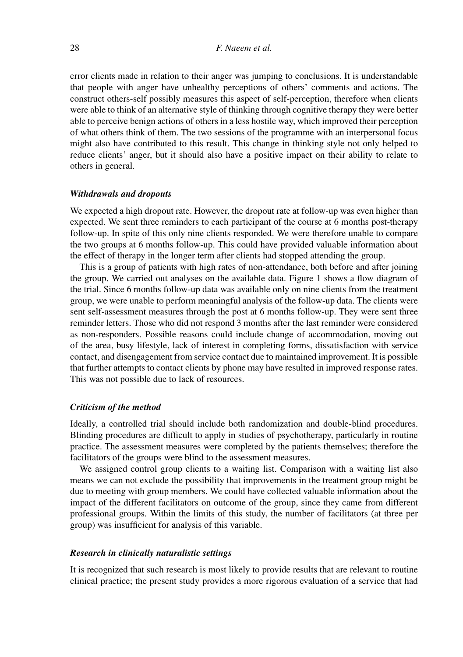error clients made in relation to their anger was jumping to conclusions. It is understandable that people with anger have unhealthy perceptions of others' comments and actions. The construct others-self possibly measures this aspect of self-perception, therefore when clients were able to think of an alternative style of thinking through cognitive therapy they were better able to perceive benign actions of others in a less hostile way, which improved their perception of what others think of them. The two sessions of the programme with an interpersonal focus might also have contributed to this result. This change in thinking style not only helped to reduce clients' anger, but it should also have a positive impact on their ability to relate to others in general.

# *Withdrawals and dropouts*

We expected a high dropout rate. However, the dropout rate at follow-up was even higher than expected. We sent three reminders to each participant of the course at 6 months post-therapy follow-up. In spite of this only nine clients responded. We were therefore unable to compare the two groups at 6 months follow-up. This could have provided valuable information about the effect of therapy in the longer term after clients had stopped attending the group.

This is a group of patients with high rates of non-attendance, both before and after joining the group. We carried out analyses on the available data. Figure 1 shows a flow diagram of the trial. Since 6 months follow-up data was available only on nine clients from the treatment group, we were unable to perform meaningful analysis of the follow-up data. The clients were sent self-assessment measures through the post at 6 months follow-up. They were sent three reminder letters. Those who did not respond 3 months after the last reminder were considered as non-responders. Possible reasons could include change of accommodation, moving out of the area, busy lifestyle, lack of interest in completing forms, dissatisfaction with service contact, and disengagement from service contact due to maintained improvement. It is possible that further attempts to contact clients by phone may have resulted in improved response rates. This was not possible due to lack of resources.

## *Criticism of the method*

Ideally, a controlled trial should include both randomization and double-blind procedures. Blinding procedures are difficult to apply in studies of psychotherapy, particularly in routine practice. The assessment measures were completed by the patients themselves; therefore the facilitators of the groups were blind to the assessment measures.

We assigned control group clients to a waiting list. Comparison with a waiting list also means we can not exclude the possibility that improvements in the treatment group might be due to meeting with group members. We could have collected valuable information about the impact of the different facilitators on outcome of the group, since they came from different professional groups. Within the limits of this study, the number of facilitators (at three per group) was insufficient for analysis of this variable.

# *Research in clinically naturalistic settings*

It is recognized that such research is most likely to provide results that are relevant to routine clinical practice; the present study provides a more rigorous evaluation of a service that had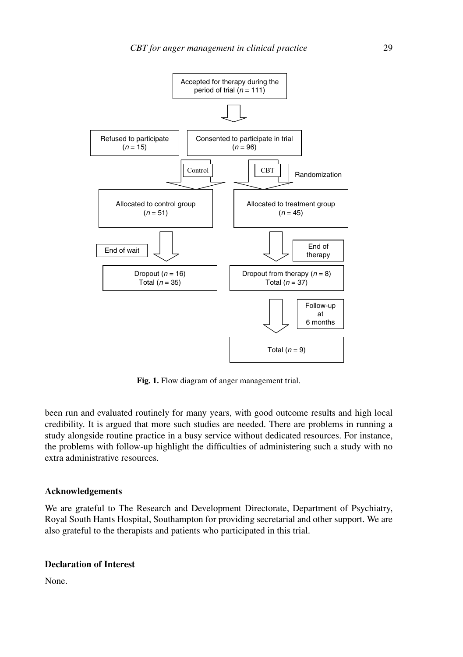

**Fig. 1.** Flow diagram of anger management trial.

been run and evaluated routinely for many years, with good outcome results and high local credibility. It is argued that more such studies are needed. There are problems in running a study alongside routine practice in a busy service without dedicated resources. For instance, the problems with follow-up highlight the difficulties of administering such a study with no extra administrative resources.

## **Acknowledgements**

We are grateful to The Research and Development Directorate, Department of Psychiatry, Royal South Hants Hospital, Southampton for providing secretarial and other support. We are also grateful to the therapists and patients who participated in this trial.

# **Declaration of Interest**

None.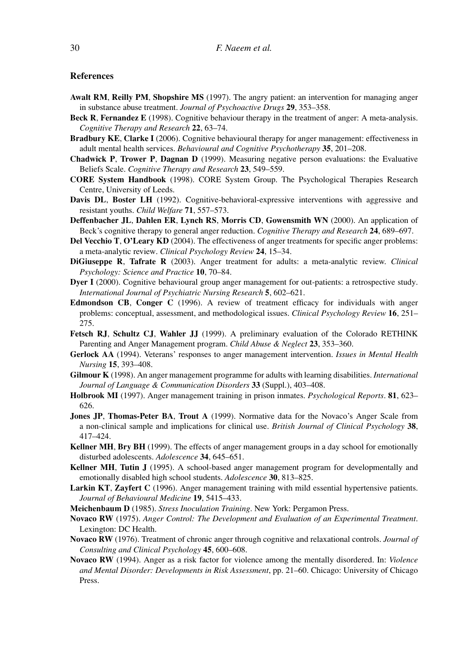# **References**

- **Awalt RM**, **Reilly PM**, **Shopshire MS** (1997). The angry patient: an intervention for managing anger in substance abuse treatment. *Journal of Psychoactive Drugs* **29**, 353–358.
- **Beck R**, **Fernandez E** (1998). Cognitive behaviour therapy in the treatment of anger: A meta-analysis. *Cognitive Therapy and Research* **22**, 63–74.
- **Bradbury KE**, **Clarke I** (2006). Cognitive behavioural therapy for anger management: effectiveness in adult mental health services. *Behavioural and Cognitive Psychotherapy* **35**, 201–208.
- **Chadwick P**, **Trower P**, **Dagnan D** (1999). Measuring negative person evaluations: the Evaluative Beliefs Scale. *Cognitive Therapy and Research* **23**, 549–559.
- **CORE System Handbook** (1998). CORE System Group. The Psychological Therapies Research Centre, University of Leeds.
- **Davis DL**, **Boster LH** (1992). Cognitive-behavioral-expressive interventions with aggressive and resistant youths. *Child Welfare* **71**, 557–573.
- **Deffenbacher JL**, **Dahlen ER**, **Lynch RS**, **Morris CD**, **Gowensmith WN** (2000). An application of Beck's cognitive therapy to general anger reduction. *Cognitive Therapy and Research* **24**, 689–697.
- **Del Vecchio T, O'Leary KD** (2004). The effectiveness of anger treatments for specific anger problems: a meta-analytic review. *Clinical Psychology Review* **24**, 15–34.
- **DiGiuseppe R**, **Tafrate R** (2003). Anger treatment for adults: a meta-analytic review. *Clinical Psychology: Science and Practice* **10**, 70–84.
- **Dyer I** (2000). Cognitive behavioural group anger management for out-patients: a retrospective study. *International Journal of Psychiatric Nursing Research* **5**, 602–621.
- **Edmondson CB**, **Conger C** (1996). A review of treatment efficacy for individuals with anger problems: conceptual, assessment, and methodological issues. *Clinical Psychology Review* **16**, 251– 275.
- **Fetsch RJ**, **Schultz CJ**, **Wahler JJ** (1999). A preliminary evaluation of the Colorado RETHINK Parenting and Anger Management program. *Child Abuse & Neglect* **23**, 353–360.
- **Gerlock AA** (1994). Veterans' responses to anger management intervention. *Issues in Mental Health Nursing* **15**, 393–408.
- **Gilmour K** (1998). An anger management programme for adults with learning disabilities. *International Journal of Language & Communication Disorders* **33** (Suppl.), 403–408.
- **Holbrook MI** (1997). Anger management training in prison inmates. *Psychological Reports*. **81**, 623– 626.
- **Jones JP**, **Thomas-Peter BA**, **Trout A** (1999). Normative data for the Novaco's Anger Scale from a non-clinical sample and implications for clinical use. *British Journal of Clinical Psychology* **38**, 417–424.
- **Kellner MH**, **Bry BH** (1999). The effects of anger management groups in a day school for emotionally disturbed adolescents. *Adolescence* **34**, 645–651.
- **Kellner MH**, **Tutin J** (1995). A school-based anger management program for developmentally and emotionally disabled high school students. *Adolescence* **30**, 813–825.
- **Larkin KT**, **Zayfert C** (1996). Anger management training with mild essential hypertensive patients. *Journal of Behavioural Medicine* **19**, 5415–433.
- **Meichenbaum D** (1985). *Stress Inoculation Training*. New York: Pergamon Press.
- **Novaco RW** (1975). *Anger Control: The Development and Evaluation of an Experimental Treatment*. Lexington: DC Health.
- **Novaco RW** (1976). Treatment of chronic anger through cognitive and relaxational controls. *Journal of Consulting and Clinical Psychology* **45**, 600–608.
- **Novaco RW** (1994). Anger as a risk factor for violence among the mentally disordered. In: *Violence and Mental Disorder: Developments in Risk Assessment*, pp. 21–60. Chicago: University of Chicago Press.